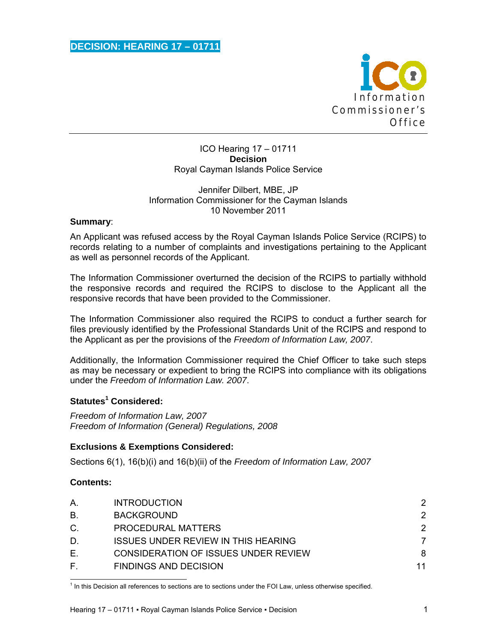

ICO Hearing 17 – 01711 **Decision**  Royal Cayman Islands Police Service

#### Jennifer Dilbert, MBE, JP Information Commissioner for the Cayman Islands 10 November 2011

### **Summary**:

An Applicant was refused access by the Royal Cayman Islands Police Service (RCIPS) to records relating to a number of complaints and investigations pertaining to the Applicant as well as personnel records of the Applicant.

The Information Commissioner overturned the decision of the RCIPS to partially withhold the responsive records and required the RCIPS to disclose to the Applicant all the responsive records that have been provided to the Commissioner.

The Information Commissioner also required the RCIPS to conduct a further search for files previously identified by the Professional Standards Unit of the RCIPS and respond to the Applicant as per the provisions of the *Freedom of Information Law, 2007*.

Additionally, the Information Commissioner required the Chief Officer to take such steps as may be necessary or expedient to bring the RCIPS into compliance with its obligations under the *Freedom of Information Law. 2007*.

# **Statutes<sup>1</sup> Considered:**

*Freedom of Information Law, 2007 Freedom of Information (General) Regulations, 2008* 

# **Exclusions & Exemptions Considered:**

Sections 6(1), 16(b)(i) and 16(b)(ii) of the *Freedom of Information Law, 2007*

# **Contents:**

| Α.    | <b>INTRODUCTION</b>                         | 2             |
|-------|---------------------------------------------|---------------|
| В.    | <b>BACKGROUND</b>                           | 2             |
| $C$ . | PROCEDURAL MATTERS                          | $\mathcal{P}$ |
| D.    | <b>ISSUES UNDER REVIEW IN THIS HEARING</b>  |               |
| Е.    | <b>CONSIDERATION OF ISSUES UNDER REVIEW</b> | 8             |
| E.    | <b>FINDINGS AND DECISION</b>                | 11            |

 1 In this Decision all references to sections are to sections under the FOI Law, unless otherwise specified.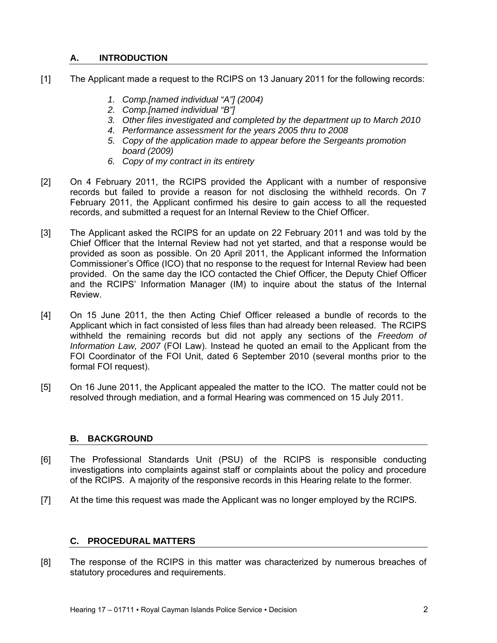# **A. INTRODUCTION**

- [1] The Applicant made a request to the RCIPS on 13 January 2011 for the following records:
	- *1. Comp.[named individual "A"] (2004)*
	- *2. Comp.[named individual "B"]*
	- *3. Other files investigated and completed by the department up to March 2010*
	- *4. Performance assessment for the years 2005 thru to 2008*
	- *5. Copy of the application made to appear before the Sergeants promotion board (2009)*
	- *6. Copy of my contract in its entirety*
- [2] On 4 February 2011, the RCIPS provided the Applicant with a number of responsive records but failed to provide a reason for not disclosing the withheld records. On 7 February 2011, the Applicant confirmed his desire to gain access to all the requested records, and submitted a request for an Internal Review to the Chief Officer.
- [3] The Applicant asked the RCIPS for an update on 22 February 2011 and was told by the Chief Officer that the Internal Review had not yet started, and that a response would be provided as soon as possible. On 20 April 2011, the Applicant informed the Information Commissioner's Office (ICO) that no response to the request for Internal Review had been provided. On the same day the ICO contacted the Chief Officer, the Deputy Chief Officer and the RCIPS' Information Manager (IM) to inquire about the status of the Internal Review.
- [4] On 15 June 2011, the then Acting Chief Officer released a bundle of records to the Applicant which in fact consisted of less files than had already been released. The RCIPS withheld the remaining records but did not apply any sections of the *Freedom of Information Law, 2007* (FOI Law). Instead he quoted an email to the Applicant from the FOI Coordinator of the FOI Unit, dated 6 September 2010 (several months prior to the formal FOI request).
- [5] On 16 June 2011, the Applicant appealed the matter to the ICO. The matter could not be resolved through mediation, and a formal Hearing was commenced on 15 July 2011.

# **B. BACKGROUND**

- [6] The Professional Standards Unit (PSU) of the RCIPS is responsible conducting investigations into complaints against staff or complaints about the policy and procedure of the RCIPS. A majority of the responsive records in this Hearing relate to the former.
- [7] At the time this request was made the Applicant was no longer employed by the RCIPS.

# **C. PROCEDURAL MATTERS**

[8] The response of the RCIPS in this matter was characterized by numerous breaches of statutory procedures and requirements.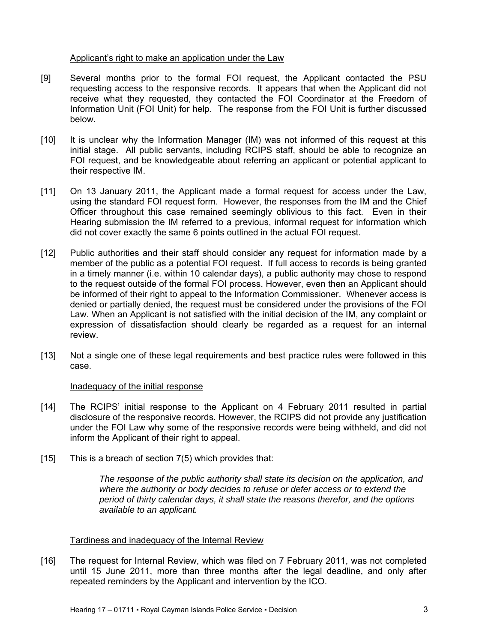### Applicant's right to make an application under the Law

- [9] Several months prior to the formal FOI request, the Applicant contacted the PSU requesting access to the responsive records. It appears that when the Applicant did not receive what they requested, they contacted the FOI Coordinator at the Freedom of Information Unit (FOI Unit) for help. The response from the FOI Unit is further discussed below.
- [10] It is unclear why the Information Manager (IM) was not informed of this request at this initial stage. All public servants, including RCIPS staff, should be able to recognize an FOI request, and be knowledgeable about referring an applicant or potential applicant to their respective IM.
- [11] On 13 January 2011, the Applicant made a formal request for access under the Law, using the standard FOI request form. However, the responses from the IM and the Chief Officer throughout this case remained seemingly oblivious to this fact. Even in their Hearing submission the IM referred to a previous, informal request for information which did not cover exactly the same 6 points outlined in the actual FOI request.
- [12] Public authorities and their staff should consider any request for information made by a member of the public as a potential FOI request. If full access to records is being granted in a timely manner (i.e. within 10 calendar days), a public authority may chose to respond to the request outside of the formal FOI process. However, even then an Applicant should be informed of their right to appeal to the Information Commissioner. Whenever access is denied or partially denied, the request must be considered under the provisions of the FOI Law. When an Applicant is not satisfied with the initial decision of the IM, any complaint or expression of dissatisfaction should clearly be regarded as a request for an internal review.
- [13] Not a single one of these legal requirements and best practice rules were followed in this case.

#### Inadequacy of the initial response

- [14] The RCIPS' initial response to the Applicant on 4 February 2011 resulted in partial disclosure of the responsive records. However, the RCIPS did not provide any justification under the FOI Law why some of the responsive records were being withheld, and did not inform the Applicant of their right to appeal.
- [15] This is a breach of section 7(5) which provides that:

*The response of the public authority shall state its decision on the application, and where the authority or body decides to refuse or defer access or to extend the period of thirty calendar days, it shall state the reasons therefor, and the options available to an applicant.* 

#### Tardiness and inadequacy of the Internal Review

[16] The request for Internal Review, which was filed on 7 February 2011, was not completed until 15 June 2011, more than three months after the legal deadline, and only after repeated reminders by the Applicant and intervention by the ICO.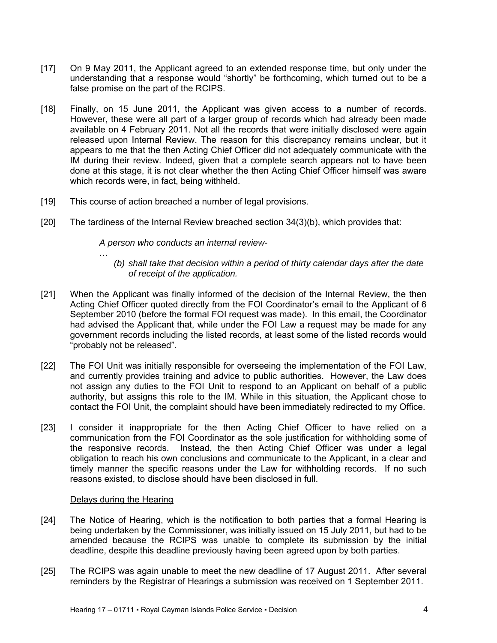- [17] On 9 May 2011, the Applicant agreed to an extended response time, but only under the understanding that a response would "shortly" be forthcoming, which turned out to be a false promise on the part of the RCIPS.
- [18] Finally, on 15 June 2011, the Applicant was given access to a number of records. However, these were all part of a larger group of records which had already been made available on 4 February 2011. Not all the records that were initially disclosed were again released upon Internal Review. The reason for this discrepancy remains unclear, but it appears to me that the then Acting Chief Officer did not adequately communicate with the IM during their review. Indeed, given that a complete search appears not to have been done at this stage, it is not clear whether the then Acting Chief Officer himself was aware which records were, in fact, being withheld.
- [19] This course of action breached a number of legal provisions.
- [20] The tardiness of the Internal Review breached section 34(3)(b), which provides that:

*A person who conducts an internal review-* 

- *(b) shall take that decision within a period of thirty calendar days after the date of receipt of the application.*
- [21] When the Applicant was finally informed of the decision of the Internal Review, the then Acting Chief Officer quoted directly from the FOI Coordinator's email to the Applicant of 6 September 2010 (before the formal FOI request was made). In this email, the Coordinator had advised the Applicant that, while under the FOI Law a request may be made for any government records including the listed records, at least some of the listed records would "probably not be released".
- [22] The FOI Unit was initially responsible for overseeing the implementation of the FOI Law, and currently provides training and advice to public authorities. However, the Law does not assign any duties to the FOI Unit to respond to an Applicant on behalf of a public authority, but assigns this role to the IM. While in this situation, the Applicant chose to contact the FOI Unit, the complaint should have been immediately redirected to my Office.
- [23] I consider it inappropriate for the then Acting Chief Officer to have relied on a communication from the FOI Coordinator as the sole justification for withholding some of the responsive records. Instead, the then Acting Chief Officer was under a legal obligation to reach his own conclusions and communicate to the Applicant, in a clear and timely manner the specific reasons under the Law for withholding records. If no such reasons existed, to disclose should have been disclosed in full.

#### Delays during the Hearing

*…* 

- [24] The Notice of Hearing, which is the notification to both parties that a formal Hearing is being undertaken by the Commissioner, was initially issued on 15 July 2011, but had to be amended because the RCIPS was unable to complete its submission by the initial deadline, despite this deadline previously having been agreed upon by both parties.
- [25] The RCIPS was again unable to meet the new deadline of 17 August 2011. After several reminders by the Registrar of Hearings a submission was received on 1 September 2011.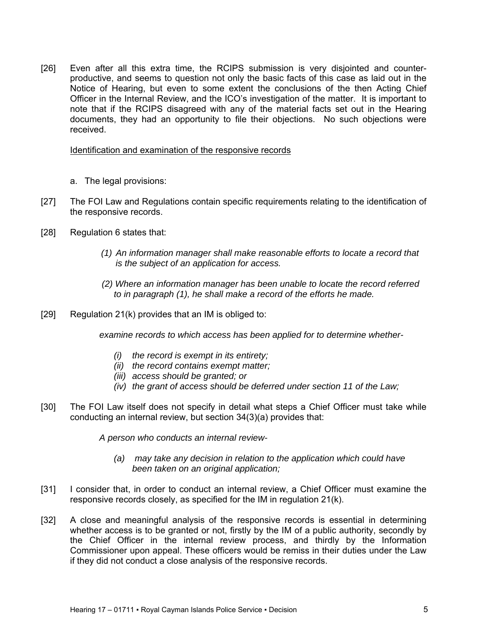[26] Even after all this extra time, the RCIPS submission is very disjointed and counterproductive, and seems to question not only the basic facts of this case as laid out in the Notice of Hearing, but even to some extent the conclusions of the then Acting Chief Officer in the Internal Review, and the ICO's investigation of the matter. It is important to note that if the RCIPS disagreed with any of the material facts set out in the Hearing documents, they had an opportunity to file their objections. No such objections were received.

#### Identification and examination of the responsive records

- a. The legal provisions:
- [27] The FOI Law and Regulations contain specific requirements relating to the identification of the responsive records.
- [28] Regulation 6 states that:
	- *(1) An information manager shall make reasonable efforts to locate a record that is the subject of an application for access.*
	- *(2) Where an information manager has been unable to locate the record referred to in paragraph (1), he shall make a record of the efforts he made.*
- [29] Regulation 21(k) provides that an IM is obliged to:

*examine records to which access has been applied for to determine whether-* 

- *(i) the record is exempt in its entirety;*
- *(ii) the record contains exempt matter;*
- *(iii) access should be granted; or*
- *(iv) the grant of access should be deferred under section 11 of the Law;*
- [30] The FOI Law itself does not specify in detail what steps a Chief Officer must take while conducting an internal review, but section 34(3)(a) provides that:

*A person who conducts an internal review-* 

- *(a) may take any decision in relation to the application which could have been taken on an original application;*
- [31] I consider that, in order to conduct an internal review, a Chief Officer must examine the responsive records closely, as specified for the IM in regulation 21(k).
- [32] A close and meaningful analysis of the responsive records is essential in determining whether access is to be granted or not, firstly by the IM of a public authority, secondly by the Chief Officer in the internal review process, and thirdly by the Information Commissioner upon appeal. These officers would be remiss in their duties under the Law if they did not conduct a close analysis of the responsive records.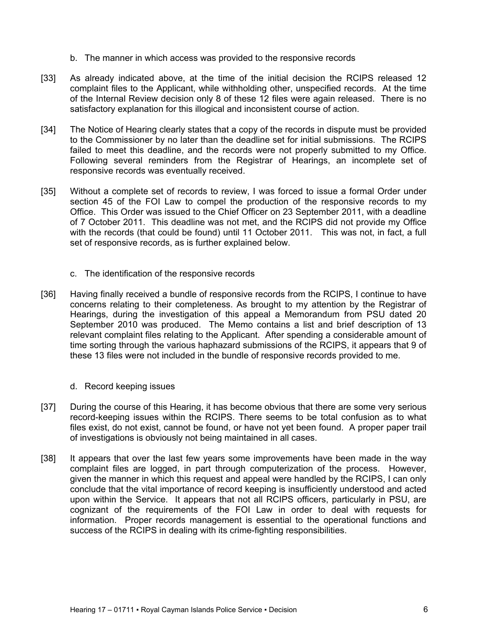- b. The manner in which access was provided to the responsive records
- [33] As already indicated above, at the time of the initial decision the RCIPS released 12 complaint files to the Applicant, while withholding other, unspecified records. At the time of the Internal Review decision only 8 of these 12 files were again released. There is no satisfactory explanation for this illogical and inconsistent course of action.
- [34] The Notice of Hearing clearly states that a copy of the records in dispute must be provided to the Commissioner by no later than the deadline set for initial submissions. The RCIPS failed to meet this deadline, and the records were not properly submitted to my Office. Following several reminders from the Registrar of Hearings, an incomplete set of responsive records was eventually received.
- [35] Without a complete set of records to review, I was forced to issue a formal Order under section 45 of the FOI Law to compel the production of the responsive records to my Office. This Order was issued to the Chief Officer on 23 September 2011, with a deadline of 7 October 2011. This deadline was not met, and the RCIPS did not provide my Office with the records (that could be found) until 11 October 2011. This was not, in fact, a full set of responsive records, as is further explained below.
	- c. The identification of the responsive records
- [36] Having finally received a bundle of responsive records from the RCIPS, I continue to have concerns relating to their completeness. As brought to my attention by the Registrar of Hearings, during the investigation of this appeal a Memorandum from PSU dated 20 September 2010 was produced. The Memo contains a list and brief description of 13 relevant complaint files relating to the Applicant. After spending a considerable amount of time sorting through the various haphazard submissions of the RCIPS, it appears that 9 of these 13 files were not included in the bundle of responsive records provided to me.
	- d. Record keeping issues
- [37] During the course of this Hearing, it has become obvious that there are some very serious record-keeping issues within the RCIPS. There seems to be total confusion as to what files exist, do not exist, cannot be found, or have not yet been found. A proper paper trail of investigations is obviously not being maintained in all cases.
- [38] It appears that over the last few years some improvements have been made in the way complaint files are logged, in part through computerization of the process. However, given the manner in which this request and appeal were handled by the RCIPS, I can only conclude that the vital importance of record keeping is insufficiently understood and acted upon within the Service. It appears that not all RCIPS officers, particularly in PSU, are cognizant of the requirements of the FOI Law in order to deal with requests for information. Proper records management is essential to the operational functions and success of the RCIPS in dealing with its crime-fighting responsibilities.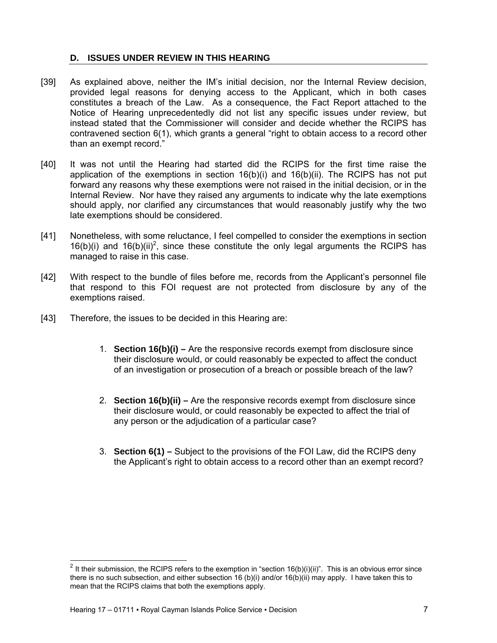# **D. ISSUES UNDER REVIEW IN THIS HEARING**

- [39] As explained above, neither the IM's initial decision, nor the Internal Review decision, provided legal reasons for denying access to the Applicant, which in both cases constitutes a breach of the Law. As a consequence, the Fact Report attached to the Notice of Hearing unprecedentedly did not list any specific issues under review, but instead stated that the Commissioner will consider and decide whether the RCIPS has contravened section 6(1), which grants a general "right to obtain access to a record other than an exempt record."
- [40] It was not until the Hearing had started did the RCIPS for the first time raise the application of the exemptions in section 16(b)(i) and 16(b)(ii). The RCIPS has not put forward any reasons why these exemptions were not raised in the initial decision, or in the Internal Review. Nor have they raised any arguments to indicate why the late exemptions should apply, nor clarified any circumstances that would reasonably justify why the two late exemptions should be considered.
- [41] Nonetheless, with some reluctance, I feel compelled to consider the exemptions in section  $16(b)(i)$  and  $16(b)(ii)^2$ , since these constitute the only legal arguments the RCIPS has managed to raise in this case.
- [42] With respect to the bundle of files before me, records from the Applicant's personnel file that respond to this FOI request are not protected from disclosure by any of the exemptions raised.
- [43] Therefore, the issues to be decided in this Hearing are:
	- 1. **Section 16(b)(i) –** Are the responsive records exempt from disclosure since their disclosure would, or could reasonably be expected to affect the conduct of an investigation or prosecution of a breach or possible breach of the law?
	- 2. **Section 16(b)(ii) –** Are the responsive records exempt from disclosure since their disclosure would, or could reasonably be expected to affect the trial of any person or the adjudication of a particular case?
	- 3. **Section 6(1) –** Subject to the provisions of the FOI Law, did the RCIPS deny the Applicant's right to obtain access to a record other than an exempt record?

l

<sup>&</sup>lt;sup>2</sup> It their submission, the RCIPS refers to the exemption in "section 16(b)(i)(ii)". This is an obvious error since there is no such subsection, and either subsection 16 (b)(i) and/or 16(b)(ii) may apply. I have taken this to mean that the RCIPS claims that both the exemptions apply.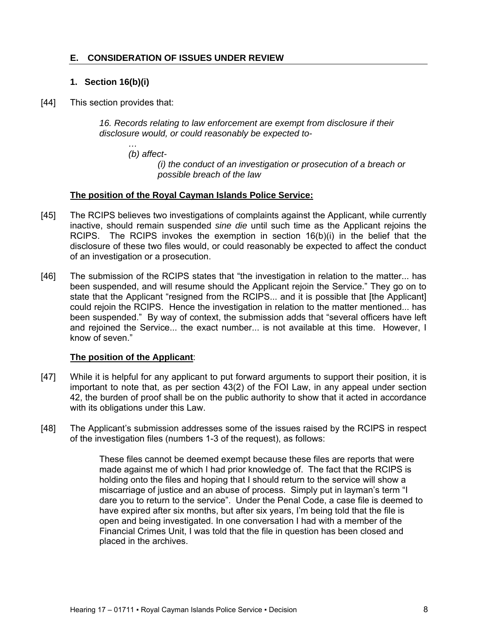# **E. CONSIDERATION OF ISSUES UNDER REVIEW**

# **1. Section 16(b)(i)**

[44] This section provides that:

*16. Records relating to law enforcement are exempt from disclosure if their disclosure would, or could reasonably be expected to-* 

*… (b) affect-* 

> *(i) the conduct of an investigation or prosecution of a breach or possible breach of the law*

### **The position of the Royal Cayman Islands Police Service:**

- [45] The RCIPS believes two investigations of complaints against the Applicant, while currently inactive, should remain suspended *sine die* until such time as the Applicant rejoins the RCIPS. The RCIPS invokes the exemption in section 16(b)(i) in the belief that the disclosure of these two files would, or could reasonably be expected to affect the conduct of an investigation or a prosecution.
- [46] The submission of the RCIPS states that "the investigation in relation to the matter... has been suspended, and will resume should the Applicant rejoin the Service." They go on to state that the Applicant "resigned from the RCIPS... and it is possible that [the Applicant] could rejoin the RCIPS. Hence the investigation in relation to the matter mentioned... has been suspended." By way of context, the submission adds that "several officers have left and rejoined the Service... the exact number... is not available at this time. However, I know of seven."

#### **The position of the Applicant**:

- [47] While it is helpful for any applicant to put forward arguments to support their position, it is important to note that, as per section 43(2) of the FOI Law, in any appeal under section 42, the burden of proof shall be on the public authority to show that it acted in accordance with its obligations under this Law.
- [48] The Applicant's submission addresses some of the issues raised by the RCIPS in respect of the investigation files (numbers 1-3 of the request), as follows:

These files cannot be deemed exempt because these files are reports that were made against me of which I had prior knowledge of. The fact that the RCIPS is holding onto the files and hoping that I should return to the service will show a miscarriage of justice and an abuse of process. Simply put in layman's term "I dare you to return to the service". Under the Penal Code, a case file is deemed to have expired after six months, but after six years, I'm being told that the file is open and being investigated. In one conversation I had with a member of the Financial Crimes Unit, I was told that the file in question has been closed and placed in the archives.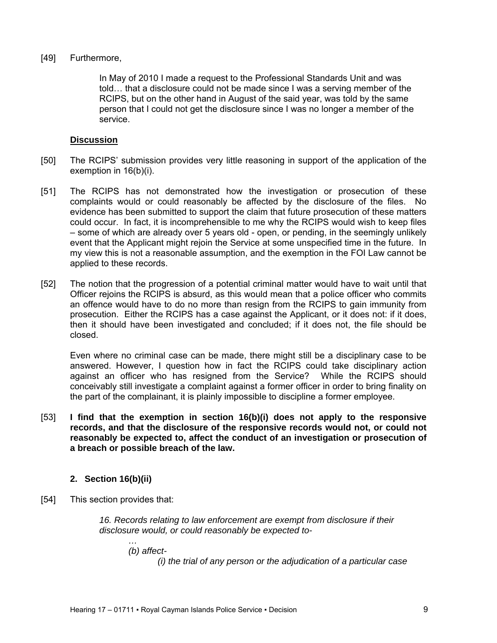### [49] Furthermore,

In May of 2010 I made a request to the Professional Standards Unit and was told… that a disclosure could not be made since I was a serving member of the RCIPS, but on the other hand in August of the said year, was told by the same person that I could not get the disclosure since I was no longer a member of the service.

### **Discussion**

- [50] The RCIPS' submission provides very little reasoning in support of the application of the exemption in 16(b)(i).
- [51] The RCIPS has not demonstrated how the investigation or prosecution of these complaints would or could reasonably be affected by the disclosure of the files. No evidence has been submitted to support the claim that future prosecution of these matters could occur. In fact, it is incomprehensible to me why the RCIPS would wish to keep files – some of which are already over 5 years old - open, or pending, in the seemingly unlikely event that the Applicant might rejoin the Service at some unspecified time in the future. In my view this is not a reasonable assumption, and the exemption in the FOI Law cannot be applied to these records.
- [52] The notion that the progression of a potential criminal matter would have to wait until that Officer rejoins the RCIPS is absurd, as this would mean that a police officer who commits an offence would have to do no more than resign from the RCIPS to gain immunity from prosecution. Either the RCIPS has a case against the Applicant, or it does not: if it does, then it should have been investigated and concluded; if it does not, the file should be closed.

 Even where no criminal case can be made, there might still be a disciplinary case to be answered. However, I question how in fact the RCIPS could take disciplinary action against an officer who has resigned from the Service? While the RCIPS should conceivably still investigate a complaint against a former officer in order to bring finality on the part of the complainant, it is plainly impossible to discipline a former employee.

[53] **I find that the exemption in section 16(b)(i) does not apply to the responsive records, and that the disclosure of the responsive records would not, or could not reasonably be expected to, affect the conduct of an investigation or prosecution of a breach or possible breach of the law.** 

# **2. Section 16(b)(ii)**

[54] This section provides that:

*16. Records relating to law enforcement are exempt from disclosure if their disclosure would, or could reasonably be expected to-* 

*(b) affect-* 

*…* 

*(i) the trial of any person or the adjudication of a particular case*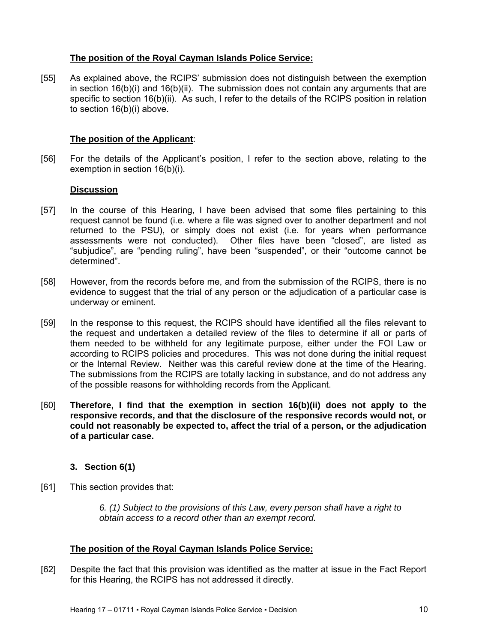# **The position of the Royal Cayman Islands Police Service:**

[55] As explained above, the RCIPS' submission does not distinguish between the exemption in section  $16(b)(i)$  and  $16(b)(ii)$ . The submission does not contain any arguments that are specific to section 16(b)(ii). As such, I refer to the details of the RCIPS position in relation to section 16(b)(i) above.

### **The position of the Applicant**:

[56] For the details of the Applicant's position, I refer to the section above, relating to the exemption in section 16(b)(i).

### **Discussion**

- [57] In the course of this Hearing, I have been advised that some files pertaining to this request cannot be found (i.e. where a file was signed over to another department and not returned to the PSU), or simply does not exist (i.e. for years when performance assessments were not conducted). Other files have been "closed", are listed as "subjudice", are "pending ruling", have been "suspended", or their "outcome cannot be determined".
- [58] However, from the records before me, and from the submission of the RCIPS, there is no evidence to suggest that the trial of any person or the adjudication of a particular case is underway or eminent.
- [59] In the response to this request, the RCIPS should have identified all the files relevant to the request and undertaken a detailed review of the files to determine if all or parts of them needed to be withheld for any legitimate purpose, either under the FOI Law or according to RCIPS policies and procedures. This was not done during the initial request or the Internal Review. Neither was this careful review done at the time of the Hearing. The submissions from the RCIPS are totally lacking in substance, and do not address any of the possible reasons for withholding records from the Applicant.
- [60] **Therefore, I find that the exemption in section 16(b)(ii) does not apply to the responsive records, and that the disclosure of the responsive records would not, or could not reasonably be expected to, affect the trial of a person, or the adjudication of a particular case.**

# **3. Section 6(1)**

[61] This section provides that:

*6. (1) Subject to the provisions of this Law, every person shall have a right to obtain access to a record other than an exempt record.* 

# **The position of the Royal Cayman Islands Police Service:**

[62] Despite the fact that this provision was identified as the matter at issue in the Fact Report for this Hearing, the RCIPS has not addressed it directly.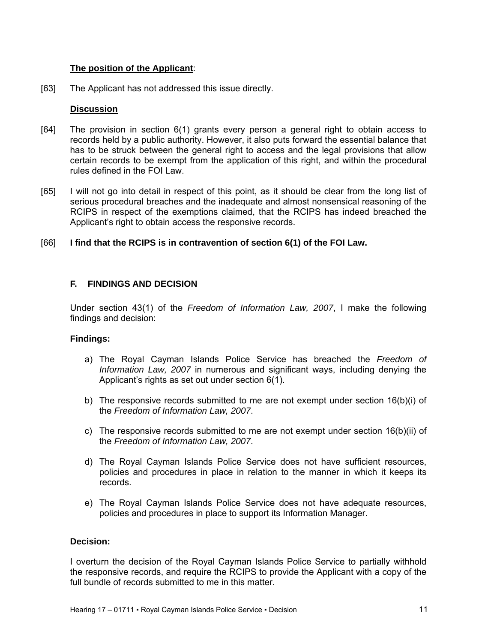### **The position of the Applicant**:

[63] The Applicant has not addressed this issue directly.

### **Discussion**

- [64] The provision in section 6(1) grants every person a general right to obtain access to records held by a public authority. However, it also puts forward the essential balance that has to be struck between the general right to access and the legal provisions that allow certain records to be exempt from the application of this right, and within the procedural rules defined in the FOI Law.
- [65] I will not go into detail in respect of this point, as it should be clear from the long list of serious procedural breaches and the inadequate and almost nonsensical reasoning of the RCIPS in respect of the exemptions claimed, that the RCIPS has indeed breached the Applicant's right to obtain access the responsive records.

### [66] **I find that the RCIPS is in contravention of section 6(1) of the FOI Law.**

# **F. FINDINGS AND DECISION**

Under section 43(1) of the *Freedom of Information Law, 2007*, I make the following findings and decision:

### **Findings:**

- a) The Royal Cayman Islands Police Service has breached the *Freedom of Information Law, 2007* in numerous and significant ways, including denying the Applicant's rights as set out under section 6(1).
- b) The responsive records submitted to me are not exempt under section 16(b)(i) of the *Freedom of Information Law, 2007*.
- c) The responsive records submitted to me are not exempt under section 16(b)(ii) of the *Freedom of Information Law, 2007*.
- d) The Royal Cayman Islands Police Service does not have sufficient resources, policies and procedures in place in relation to the manner in which it keeps its records.
- e) The Royal Cayman Islands Police Service does not have adequate resources, policies and procedures in place to support its Information Manager.

#### **Decision:**

I overturn the decision of the Royal Cayman Islands Police Service to partially withhold the responsive records, and require the RCIPS to provide the Applicant with a copy of the full bundle of records submitted to me in this matter.